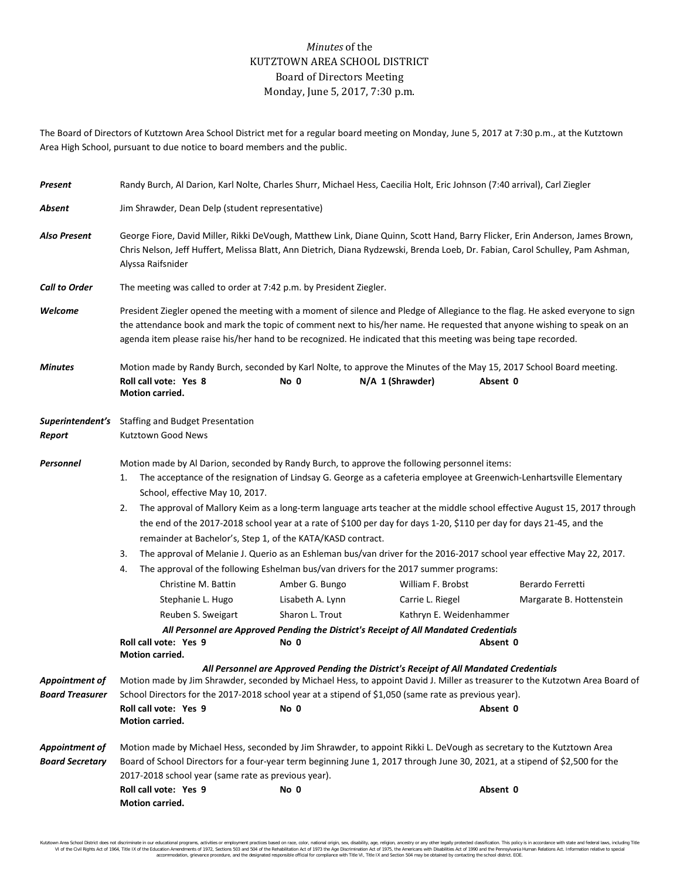## *Minutes* of the KUTZTOWN AREA SCHOOL DISTRICT Board of Directors Meeting Monday, June 5, 2017, 7:30 p.m.

The Board of Directors of Kutztown Area School District met for a regular board meeting on Monday, June 5, 2017 at 7:30 p.m., at the Kutztown Area High School, pursuant to due notice to board members and the public.

| Present                                  | Randy Burch, Al Darion, Karl Nolte, Charles Shurr, Michael Hess, Caecilia Holt, Eric Johnson (7:40 arrival), Carl Ziegler                                                                                                                                                                                                                                                                                                                                                                                                                                                                                                                                                                                                                                                                                           |                  |                                                                                       |                                                                                                                                  |  |  |  |  |
|------------------------------------------|---------------------------------------------------------------------------------------------------------------------------------------------------------------------------------------------------------------------------------------------------------------------------------------------------------------------------------------------------------------------------------------------------------------------------------------------------------------------------------------------------------------------------------------------------------------------------------------------------------------------------------------------------------------------------------------------------------------------------------------------------------------------------------------------------------------------|------------------|---------------------------------------------------------------------------------------|----------------------------------------------------------------------------------------------------------------------------------|--|--|--|--|
| Absent                                   | Jim Shrawder, Dean Delp (student representative)                                                                                                                                                                                                                                                                                                                                                                                                                                                                                                                                                                                                                                                                                                                                                                    |                  |                                                                                       |                                                                                                                                  |  |  |  |  |
| <b>Also Present</b>                      | George Fiore, David Miller, Rikki DeVough, Matthew Link, Diane Quinn, Scott Hand, Barry Flicker, Erin Anderson, James Brown,<br>Chris Nelson, Jeff Huffert, Melissa Blatt, Ann Dietrich, Diana Rydzewski, Brenda Loeb, Dr. Fabian, Carol Schulley, Pam Ashman,<br>Alyssa Raifsnider                                                                                                                                                                                                                                                                                                                                                                                                                                                                                                                                 |                  |                                                                                       |                                                                                                                                  |  |  |  |  |
| <b>Call to Order</b>                     | The meeting was called to order at 7:42 p.m. by President Ziegler.                                                                                                                                                                                                                                                                                                                                                                                                                                                                                                                                                                                                                                                                                                                                                  |                  |                                                                                       |                                                                                                                                  |  |  |  |  |
| Welcome                                  | President Ziegler opened the meeting with a moment of silence and Pledge of Allegiance to the flag. He asked everyone to sign<br>the attendance book and mark the topic of comment next to his/her name. He requested that anyone wishing to speak on an<br>agenda item please raise his/her hand to be recognized. He indicated that this meeting was being tape recorded.                                                                                                                                                                                                                                                                                                                                                                                                                                         |                  |                                                                                       |                                                                                                                                  |  |  |  |  |
| <b>Minutes</b>                           | Roll call vote: Yes 8<br><b>Motion carried.</b>                                                                                                                                                                                                                                                                                                                                                                                                                                                                                                                                                                                                                                                                                                                                                                     | No 0             | N/A 1 (Shrawder)                                                                      | Motion made by Randy Burch, seconded by Karl Nolte, to approve the Minutes of the May 15, 2017 School Board meeting.<br>Absent 0 |  |  |  |  |
| Superintendent's<br>Report               | <b>Staffing and Budget Presentation</b><br>Kutztown Good News                                                                                                                                                                                                                                                                                                                                                                                                                                                                                                                                                                                                                                                                                                                                                       |                  |                                                                                       |                                                                                                                                  |  |  |  |  |
| Personnel                                | Motion made by Al Darion, seconded by Randy Burch, to approve the following personnel items:<br>The acceptance of the resignation of Lindsay G. George as a cafeteria employee at Greenwich-Lenhartsville Elementary<br>1.<br>School, effective May 10, 2017.<br>The approval of Mallory Keim as a long-term language arts teacher at the middle school effective August 15, 2017 through<br>2.<br>the end of the 2017-2018 school year at a rate of \$100 per day for days 1-20, \$110 per day for days 21-45, and the<br>remainder at Bachelor's, Step 1, of the KATA/KASD contract.<br>3.<br>The approval of Melanie J. Querio as an Eshleman bus/van driver for the 2016-2017 school year effective May 22, 2017.<br>The approval of the following Eshelman bus/van drivers for the 2017 summer programs:<br>4. |                  |                                                                                       |                                                                                                                                  |  |  |  |  |
|                                          | Christine M. Battin                                                                                                                                                                                                                                                                                                                                                                                                                                                                                                                                                                                                                                                                                                                                                                                                 | Amber G. Bungo   | William F. Brobst                                                                     | Berardo Ferretti                                                                                                                 |  |  |  |  |
|                                          | Stephanie L. Hugo                                                                                                                                                                                                                                                                                                                                                                                                                                                                                                                                                                                                                                                                                                                                                                                                   | Lisabeth A. Lynn | Carrie L. Riegel                                                                      | Margarate B. Hottenstein                                                                                                         |  |  |  |  |
|                                          | Reuben S. Sweigart                                                                                                                                                                                                                                                                                                                                                                                                                                                                                                                                                                                                                                                                                                                                                                                                  | Sharon L. Trout  | Kathryn E. Weidenhammer                                                               |                                                                                                                                  |  |  |  |  |
|                                          | Roll call vote: Yes 9                                                                                                                                                                                                                                                                                                                                                                                                                                                                                                                                                                                                                                                                                                                                                                                               | No 0             | All Personnel are Approved Pending the District's Receipt of All Mandated Credentials | Absent 0                                                                                                                         |  |  |  |  |
|                                          | Motion carried.                                                                                                                                                                                                                                                                                                                                                                                                                                                                                                                                                                                                                                                                                                                                                                                                     |                  |                                                                                       |                                                                                                                                  |  |  |  |  |
| Appointment of<br><b>Board Treasurer</b> | All Personnel are Approved Pending the District's Receipt of All Mandated Credentials<br>Motion made by Jim Shrawder, seconded by Michael Hess, to appoint David J. Miller as treasurer to the Kutzotwn Area Board of<br>School Directors for the 2017-2018 school year at a stipend of \$1,050 (same rate as previous year).                                                                                                                                                                                                                                                                                                                                                                                                                                                                                       |                  |                                                                                       |                                                                                                                                  |  |  |  |  |
|                                          | Roll call vote: Yes 9<br>Motion carried.                                                                                                                                                                                                                                                                                                                                                                                                                                                                                                                                                                                                                                                                                                                                                                            | No 0             |                                                                                       | Absent 0                                                                                                                         |  |  |  |  |
| Appointment of<br><b>Board Secretary</b> | Motion made by Michael Hess, seconded by Jim Shrawder, to appoint Rikki L. DeVough as secretary to the Kutztown Area<br>Board of School Directors for a four-year term beginning June 1, 2017 through June 30, 2021, at a stipend of \$2,500 for the<br>2017-2018 school year (same rate as previous year).                                                                                                                                                                                                                                                                                                                                                                                                                                                                                                         |                  |                                                                                       |                                                                                                                                  |  |  |  |  |
|                                          | Roll call vote: Yes 9<br>Motion carried.                                                                                                                                                                                                                                                                                                                                                                                                                                                                                                                                                                                                                                                                                                                                                                            | No 0             |                                                                                       | Absent 0                                                                                                                         |  |  |  |  |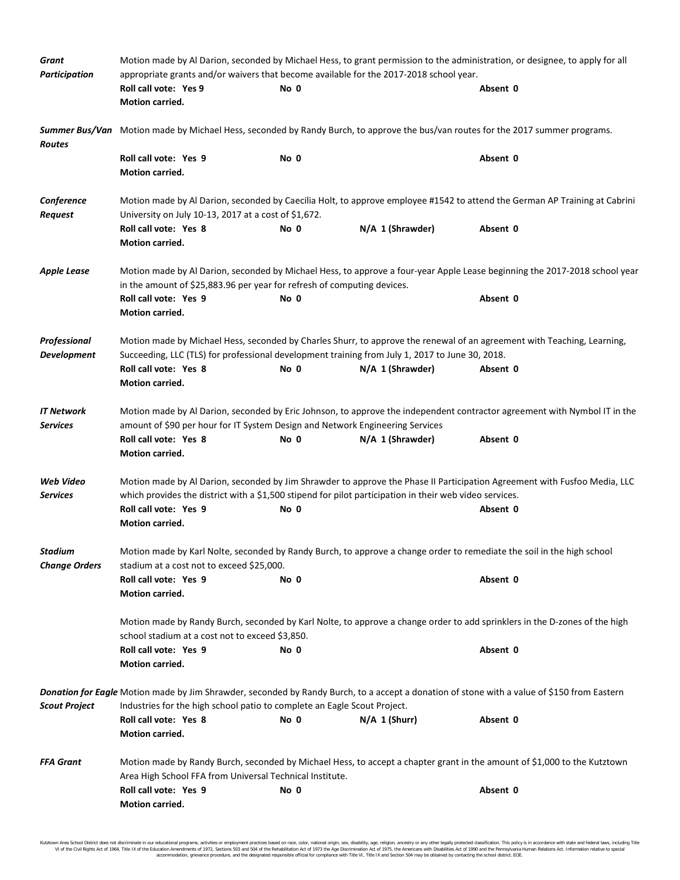| Grant                              | Motion made by Al Darion, seconded by Michael Hess, to grant permission to the administration, or designee, to apply for all<br>appropriate grants and/or waivers that become available for the 2017-2018 school year.               |      |                  |          |  |  |  |
|------------------------------------|--------------------------------------------------------------------------------------------------------------------------------------------------------------------------------------------------------------------------------------|------|------------------|----------|--|--|--|
| <b>Participation</b>               | Roll call vote: Yes 9                                                                                                                                                                                                                | No 0 |                  | Absent 0 |  |  |  |
|                                    | Motion carried.                                                                                                                                                                                                                      |      |                  |          |  |  |  |
| Routes                             | Summer Bus/Van Motion made by Michael Hess, seconded by Randy Burch, to approve the bus/van routes for the 2017 summer programs.                                                                                                     |      |                  |          |  |  |  |
|                                    | Roll call vote: Yes 9<br>Motion carried.                                                                                                                                                                                             | No 0 |                  | Absent 0 |  |  |  |
| Conference<br>Request              | Motion made by Al Darion, seconded by Caecilia Holt, to approve employee #1542 to attend the German AP Training at Cabrini<br>University on July 10-13, 2017 at a cost of \$1,672.                                                   |      |                  |          |  |  |  |
|                                    | Roll call vote: Yes 8<br>Motion carried.                                                                                                                                                                                             | No 0 | N/A 1 (Shrawder) | Absent 0 |  |  |  |
| <b>Apple Lease</b>                 | Motion made by Al Darion, seconded by Michael Hess, to approve a four-year Apple Lease beginning the 2017-2018 school year<br>in the amount of \$25,883.96 per year for refresh of computing devices.                                |      |                  |          |  |  |  |
|                                    | Roll call vote: Yes 9<br>Motion carried.                                                                                                                                                                                             | No 0 |                  | Absent 0 |  |  |  |
| Professional<br><b>Development</b> | Motion made by Michael Hess, seconded by Charles Shurr, to approve the renewal of an agreement with Teaching, Learning,<br>Succeeding, LLC (TLS) for professional development training from July 1, 2017 to June 30, 2018.           |      |                  |          |  |  |  |
|                                    | Roll call vote: Yes 8<br>Motion carried.                                                                                                                                                                                             | No 0 | N/A 1 (Shrawder) | Absent 0 |  |  |  |
| <b>IT Network</b><br>Services      | Motion made by Al Darion, seconded by Eric Johnson, to approve the independent contractor agreement with Nymbol IT in the<br>amount of \$90 per hour for IT System Design and Network Engineering Services                           |      |                  |          |  |  |  |
|                                    | Roll call vote: Yes 8<br>Motion carried.                                                                                                                                                                                             | No 0 | N/A 1 (Shrawder) | Absent 0 |  |  |  |
| Web Video<br>Services              | Motion made by Al Darion, seconded by Jim Shrawder to approve the Phase II Participation Agreement with Fusfoo Media, LLC<br>which provides the district with a \$1,500 stipend for pilot participation in their web video services. |      |                  |          |  |  |  |
|                                    | Roll call vote: Yes 9<br>Motion carried.                                                                                                                                                                                             | No 0 |                  | Absent 0 |  |  |  |
| Stadium<br><b>Change Orders</b>    | Motion made by Karl Nolte, seconded by Randy Burch, to approve a change order to remediate the soil in the high school<br>stadium at a cost not to exceed \$25,000.                                                                  |      |                  |          |  |  |  |
|                                    | Roll call vote: Yes 9<br>Motion carried.                                                                                                                                                                                             | No 0 |                  | Absent 0 |  |  |  |
|                                    | Motion made by Randy Burch, seconded by Karl Nolte, to approve a change order to add sprinklers in the D-zones of the high<br>school stadium at a cost not to exceed \$3,850.                                                        |      |                  |          |  |  |  |
|                                    | Roll call vote: Yes 9<br>Motion carried.                                                                                                                                                                                             | No 0 |                  | Absent 0 |  |  |  |
| <b>Scout Project</b>               | Donation for Eagle Motion made by Jim Shrawder, seconded by Randy Burch, to a accept a donation of stone with a value of \$150 from Eastern<br>Industries for the high school patio to complete an Eagle Scout Project.              |      |                  |          |  |  |  |
|                                    | Roll call vote: Yes 8<br>Motion carried.                                                                                                                                                                                             | No 0 | $N/A$ 1 (Shurr)  | Absent 0 |  |  |  |
| <b>FFA Grant</b>                   | Motion made by Randy Burch, seconded by Michael Hess, to accept a chapter grant in the amount of \$1,000 to the Kutztown<br>Area High School FFA from Universal Technical Institute.                                                 |      |                  |          |  |  |  |
|                                    | Roll call vote: Yes 9<br>Motion carried.                                                                                                                                                                                             | No 0 |                  | Absent 0 |  |  |  |

Kutztown Area School District does not discriminate in our educational programs, activities or employment practices based on race, color, national origin, sex, disability, age, religion, ancestry or any other legally prot